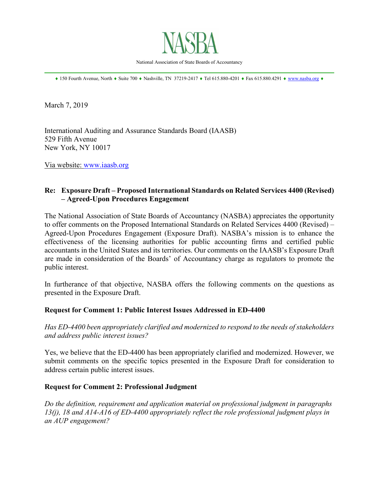

National Association of State Boards of Accountancy \_\_\_\_\_\_\_\_\_\_\_\_\_\_\_\_\_\_\_\_\_\_\_\_\_\_\_\_\_\_\_\_\_\_\_\_\_\_\_\_\_\_\_\_\_\_\_\_\_\_\_\_\_\_\_\_\_\_\_\_\_\_\_\_\_\_\_\_\_\_\_\_\_\_\_\_\_\_

♦ 150 Fourth Avenue, North ♦ Suite 700 ♦ Nashville, TN 37219-2417 ♦ Tel 615.880-4201 ♦ Fax 615.880.4291 ♦ [www.nasba.org](http://www.nasba.org/) ♦

March 7, 2019

International Auditing and Assurance Standards Board (IAASB) 529 Fifth Avenue New York, NY 10017

Via website: [www.iaasb.org](http://www.iaasb.org/)

# **Re: Exposure Draft – Proposed International Standards on Related Services 4400 (Revised) – Agreed-Upon Procedures Engagement**

The National Association of State Boards of Accountancy (NASBA) appreciates the opportunity to offer comments on the Proposed International Standards on Related Services 4400 (Revised) – Agreed-Upon Procedures Engagement (Exposure Draft). NASBA's mission is to enhance the effectiveness of the licensing authorities for public accounting firms and certified public accountants in the United States and its territories. Our comments on the IAASB's Exposure Draft are made in consideration of the Boards' of Accountancy charge as regulators to promote the public interest.

In furtherance of that objective, NASBA offers the following comments on the questions as presented in the Exposure Draft.

# **Request for Comment 1: Public Interest Issues Addressed in ED-4400**

*Has ED-4400 been appropriately clarified and modernized to respond to the needs of stakeholders and address public interest issues?*

Yes, we believe that the ED-4400 has been appropriately clarified and modernized. However, we submit comments on the specific topics presented in the Exposure Draft for consideration to address certain public interest issues.

# **Request for Comment 2: Professional Judgment**

*Do the definition, requirement and application material on professional judgment in paragraphs 13(j), 18 and A14-A16 of ED-4400 appropriately reflect the role professional judgment plays in an AUP engagement?*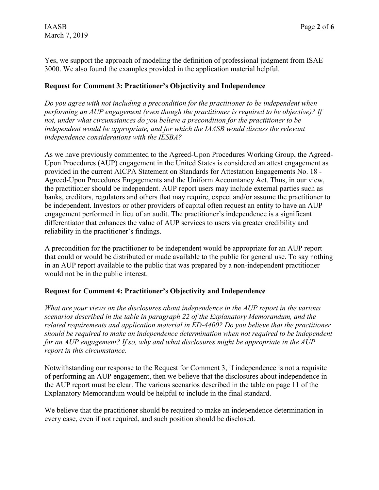Yes, we support the approach of modeling the definition of professional judgment from ISAE 3000. We also found the examples provided in the application material helpful.

#### **Request for Comment 3: Practitioner's Objectivity and Independence**

*Do you agree with not including a precondition for the practitioner to be independent when performing an AUP engagement (even though the practitioner is required to be objective)? If not, under what circumstances do you believe a precondition for the practitioner to be independent would be appropriate, and for which the IAASB would discuss the relevant independence considerations with the IESBA?*

As we have previously commented to the Agreed-Upon Procedures Working Group, the Agreed-Upon Procedures (AUP) engagement in the United States is considered an attest engagement as provided in the current AICPA Statement on Standards for Attestation Engagements No. 18 - Agreed-Upon Procedures Engagements and the Uniform Accountancy Act. Thus, in our view, the practitioner should be independent. AUP report users may include external parties such as banks, creditors, regulators and others that may require, expect and/or assume the practitioner to be independent. Investors or other providers of capital often request an entity to have an AUP engagement performed in lieu of an audit. The practitioner's independence is a significant differentiator that enhances the value of AUP services to users via greater credibility and reliability in the practitioner's findings.

A precondition for the practitioner to be independent would be appropriate for an AUP report that could or would be distributed or made available to the public for general use. To say nothing in an AUP report available to the public that was prepared by a non-independent practitioner would not be in the public interest.

# **Request for Comment 4: Practitioner's Objectivity and Independence**

*What are your views on the disclosures about independence in the AUP report in the various scenarios described in the table in paragraph 22 of the Explanatory Memorandum, and the related requirements and application material in ED-4400? Do you believe that the practitioner should be required to make an independence determination when not required to be independent for an AUP engagement? If so, why and what disclosures might be appropriate in the AUP report in this circumstance.*

Notwithstanding our response to the Request for Comment 3, if independence is not a requisite of performing an AUP engagement, then we believe that the disclosures about independence in the AUP report must be clear. The various scenarios described in the table on page 11 of the Explanatory Memorandum would be helpful to include in the final standard.

We believe that the practitioner should be required to make an independence determination in every case, even if not required, and such position should be disclosed.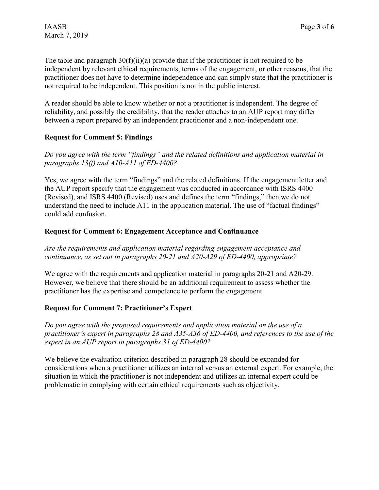The table and paragraph  $30(f)(ii)(a)$  provide that if the practitioner is not required to be independent by relevant ethical requirements, terms of the engagement, or other reasons, that the practitioner does not have to determine independence and can simply state that the practitioner is not required to be independent. This position is not in the public interest.

A reader should be able to know whether or not a practitioner is independent. The degree of reliability, and possibly the credibility, that the reader attaches to an AUP report may differ between a report prepared by an independent practitioner and a non-independent one.

# **Request for Comment 5: Findings**

*Do you agree with the term "findings" and the related definitions and application material in paragraphs 13(f) and A10-A11 of ED-4400?*

Yes, we agree with the term "findings" and the related definitions. If the engagement letter and the AUP report specify that the engagement was conducted in accordance with ISRS 4400 (Revised), and ISRS 4400 (Revised) uses and defines the term "findings," then we do not understand the need to include A11 in the application material. The use of "factual findings" could add confusion.

# **Request for Comment 6: Engagement Acceptance and Continuance**

*Are the requirements and application material regarding engagement acceptance and continuance, as set out in paragraphs 20-21 and A20-A29 of ED-4400, appropriate?*

We agree with the requirements and application material in paragraphs 20-21 and A20-29. However, we believe that there should be an additional requirement to assess whether the practitioner has the expertise and competence to perform the engagement.

# **Request for Comment 7: Practitioner's Expert**

*Do you agree with the proposed requirements and application material on the use of a practitioner's expert in paragraphs 28 and A35-A36 of ED-4400, and references to the use of the expert in an AUP report in paragraphs 31 of ED-4400?*

We believe the evaluation criterion described in paragraph 28 should be expanded for considerations when a practitioner utilizes an internal versus an external expert. For example, the situation in which the practitioner is not independent and utilizes an internal expert could be problematic in complying with certain ethical requirements such as objectivity.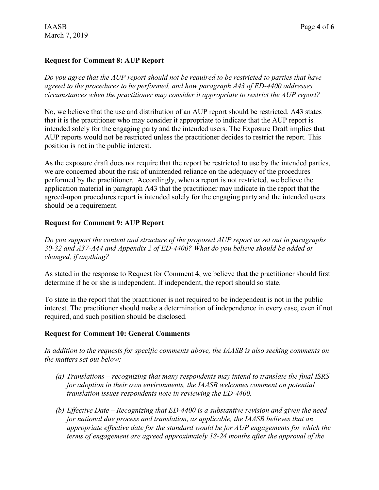# **Request for Comment 8: AUP Report**

*Do you agree that the AUP report should not be required to be restricted to parties that have agreed to the procedures to be performed, and how paragraph A43 of ED-4400 addresses circumstances when the practitioner may consider it appropriate to restrict the AUP report?*

No, we believe that the use and distribution of an AUP report should be restricted. A43 states that it is the practitioner who may consider it appropriate to indicate that the AUP report is intended solely for the engaging party and the intended users. The Exposure Draft implies that AUP reports would not be restricted unless the practitioner decides to restrict the report. This position is not in the public interest.

As the exposure draft does not require that the report be restricted to use by the intended parties, we are concerned about the risk of unintended reliance on the adequacy of the procedures performed by the practitioner. Accordingly, when a report is not restricted, we believe the application material in paragraph A43 that the practitioner may indicate in the report that the agreed-upon procedures report is intended solely for the engaging party and the intended users should be a requirement.

#### **Request for Comment 9: AUP Report**

*Do you support the content and structure of the proposed AUP report as set out in paragraphs 30-32 and A37-A44 and Appendix 2 of ED-4400? What do you believe should be added or changed, if anything?*

As stated in the response to Request for Comment 4, we believe that the practitioner should first determine if he or she is independent. If independent, the report should so state.

To state in the report that the practitioner is not required to be independent is not in the public interest. The practitioner should make a determination of independence in every case, even if not required, and such position should be disclosed.

#### **Request for Comment 10: General Comments**

*In addition to the requests for specific comments above, the IAASB is also seeking comments on the matters set out below:*

- *(a) Translations – recognizing that many respondents may intend to translate the final ISRS for adoption in their own environments, the IAASB welcomes comment on potential translation issues respondents note in reviewing the ED-4400.*
- *(b) Effective Date – Recognizing that ED-4400 is a substantive revision and given the need for national due process and translation, as applicable, the IAASB believes that an appropriate effective date for the standard would be for AUP engagements for which the terms of engagement are agreed approximately 18-24 months after the approval of the*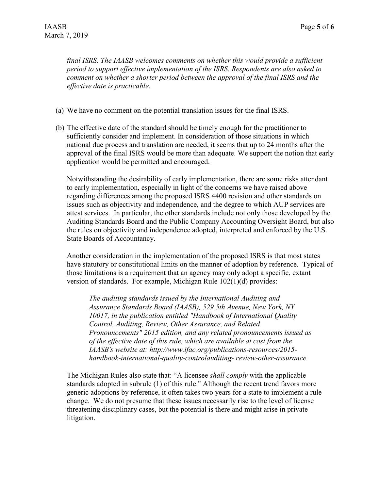*final ISRS. The IAASB welcomes comments on whether this would provide a sufficient period to support effective implementation of the ISRS. Respondents are also asked to comment on whether a shorter period between the approval of the final ISRS and the effective date is practicable.*

- (a) We have no comment on the potential translation issues for the final ISRS.
- (b) The effective date of the standard should be timely enough for the practitioner to sufficiently consider and implement. In consideration of those situations in which national due process and translation are needed, it seems that up to 24 months after the approval of the final ISRS would be more than adequate. We support the notion that early application would be permitted and encouraged.

Notwithstanding the desirability of early implementation, there are some risks attendant to early implementation, especially in light of the concerns we have raised above regarding differences among the proposed ISRS 4400 revision and other standards on issues such as objectivity and independence, and the degree to which AUP services are attest services. In particular, the other standards include not only those developed by the Auditing Standards Board and the Public Company Accounting Oversight Board, but also the rules on objectivity and independence adopted, interpreted and enforced by the U.S. State Boards of Accountancy.

Another consideration in the implementation of the proposed ISRS is that most states have statutory or constitutional limits on the manner of adoption by reference. Typical of those limitations is a requirement that an agency may only adopt a specific, extant version of standards. For example, Michigan Rule 102(1)(d) provides:

*The auditing standards issued by the International Auditing and Assurance Standards Board (IAASB), 529 5th Avenue, New York, NY 10017, in the publication entitled "Handbook of International Quality Control, Auditing, Review, Other Assurance, and Related Pronouncements" 2015 edition, and any related pronouncements issued as of the effective date of this rule, which are available at cost from the IAASB's website at: http://www.ifac.org/publications-resources/2015 handbook-international-quality-controlauditing- review-other-assurance.*

The Michigan Rules also state that: "A licensee *shall comply* with the applicable standards adopted in subrule (1) of this rule." Although the recent trend favors more generic adoptions by reference, it often takes two years for a state to implement a rule change. We do not presume that these issues necessarily rise to the level of license threatening disciplinary cases, but the potential is there and might arise in private litigation.